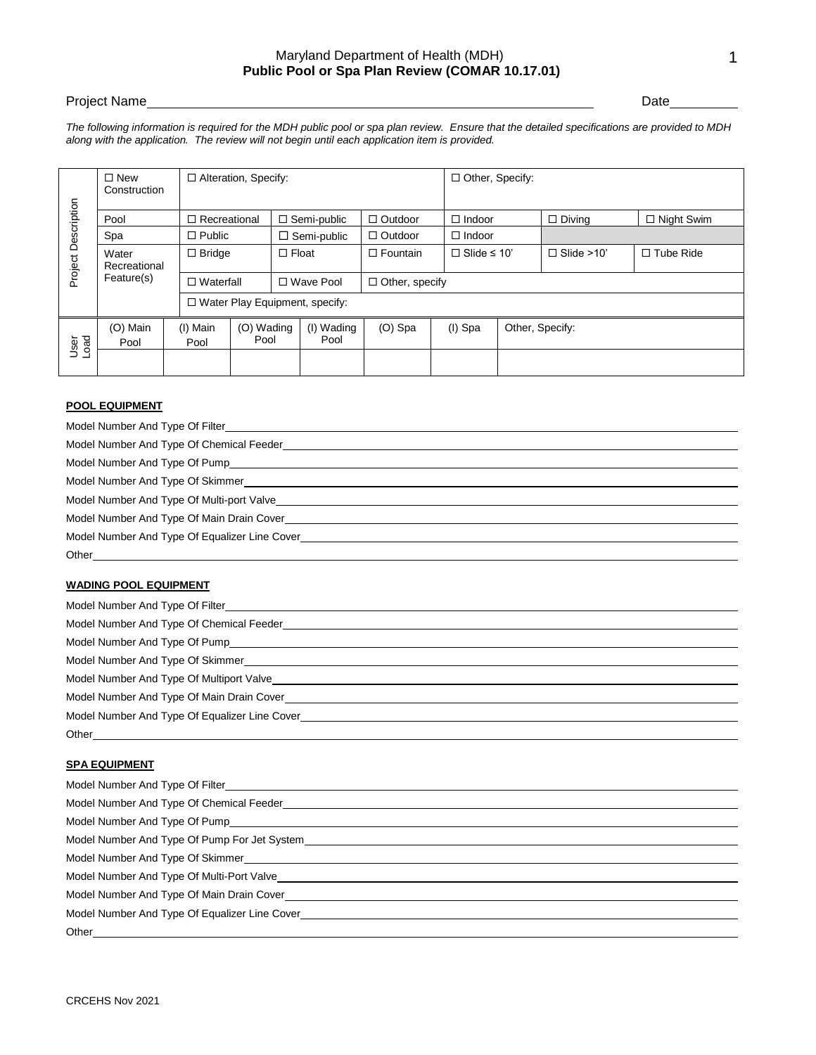## Maryland Department of Health (MDH) **Public Pool or Spa Plan Review (COMAR 10.17.01)**

## Project Name Date

*The following information is required for the MDH public pool or spa plan review. Ensure that the detailed specifications are provided to MDH along with the application. The review will not begin until each application item is provided.*

| $\Box$ Recreational<br>$\Box$ Semi-public<br>$\Box$ Outdoor<br>$\Box$ Night Swim<br>Pool<br>$\Box$ Indoor<br>$\Box$ Diving<br>$\Box$ Public<br>Spa<br>$\Box$ Semi-public<br>$\Box$ Outdoor<br>$\Box$ Indoor<br>$\Box$ Float<br>$\Box$ Fountain<br>$\Box$ Slide $\leq$ 10'<br>$\Box$ Slide >10'<br>$\Box$ Tube Ride<br>Water<br>$\Box$ Bridge<br>Recreational<br>Feature(s)<br>$\Box$ Waterfall<br>□ Wave Pool<br>$\Box$ Other, specify<br>□ Water Play Equipment, specify:<br>(O) Wading<br>(I) Wading<br>(O) Main<br>(I) Main<br>$(O)$ Spa<br>(I) Spa<br>Other, Specify:<br>bead<br>Tag<br>Pool<br>Pool<br>Pool<br>Pool<br><b>POOL EQUIPMENT</b><br>Model Number And Type Of Filter_<br>Model Number And Type Of Chemical Feeder <b>Contract Contract Contract Contract Contract Contract Contract Contract Contract Contract Contract Contract Contract Contract Contract Contract Contract Contract Contract Contract </b><br>Model Number And Type Of Equalizer Line Cover North Annual State of Annual State Annual State Annual State Annu<br><b>WADING POOL EQUIPMENT</b><br>Model Number And Type Of Multiport Valve <b>example and the contract of the Contract of Annual Activities</b> and the contract of the contract of the contract of the contract of the contract of the contract of the contract of t<br>Model Number And Type Of Equalizer Line Cover Learning and Communication of the Cover Cover of the Cover Cover<br>Other <b>Committee Committee Committee</b><br><b>SPA EQUIPMENT</b><br>Model Number And Type Of Filter<br>Model Number And Type Of Pump <b>And Accept And Accept Accept Accept Accept Accept Accept Accept Accept Accept</b><br>Model Number And Type Of Skimmer New York Channels and the Model Number And Type Of Skimmer |                     | $\square$ New<br>Construction |  | □ Alteration, Specify: |  |  |  |  | □ Other, Specify: |  |  |  |
|-------------------------------------------------------------------------------------------------------------------------------------------------------------------------------------------------------------------------------------------------------------------------------------------------------------------------------------------------------------------------------------------------------------------------------------------------------------------------------------------------------------------------------------------------------------------------------------------------------------------------------------------------------------------------------------------------------------------------------------------------------------------------------------------------------------------------------------------------------------------------------------------------------------------------------------------------------------------------------------------------------------------------------------------------------------------------------------------------------------------------------------------------------------------------------------------------------------------------------------------------------------------------------------------------------------------------------------------------------------------------------------------------------------------------------------------------------------------------------------------------------------------------------------------------------------------------------------------------------------------------------------------------------------------------------------------------------------------------------------------------------------------------|---------------------|-------------------------------|--|------------------------|--|--|--|--|-------------------|--|--|--|
|                                                                                                                                                                                                                                                                                                                                                                                                                                                                                                                                                                                                                                                                                                                                                                                                                                                                                                                                                                                                                                                                                                                                                                                                                                                                                                                                                                                                                                                                                                                                                                                                                                                                                                                                                                         | Project Description |                               |  |                        |  |  |  |  |                   |  |  |  |
|                                                                                                                                                                                                                                                                                                                                                                                                                                                                                                                                                                                                                                                                                                                                                                                                                                                                                                                                                                                                                                                                                                                                                                                                                                                                                                                                                                                                                                                                                                                                                                                                                                                                                                                                                                         |                     |                               |  |                        |  |  |  |  |                   |  |  |  |
|                                                                                                                                                                                                                                                                                                                                                                                                                                                                                                                                                                                                                                                                                                                                                                                                                                                                                                                                                                                                                                                                                                                                                                                                                                                                                                                                                                                                                                                                                                                                                                                                                                                                                                                                                                         |                     |                               |  |                        |  |  |  |  |                   |  |  |  |
|                                                                                                                                                                                                                                                                                                                                                                                                                                                                                                                                                                                                                                                                                                                                                                                                                                                                                                                                                                                                                                                                                                                                                                                                                                                                                                                                                                                                                                                                                                                                                                                                                                                                                                                                                                         |                     |                               |  |                        |  |  |  |  |                   |  |  |  |
|                                                                                                                                                                                                                                                                                                                                                                                                                                                                                                                                                                                                                                                                                                                                                                                                                                                                                                                                                                                                                                                                                                                                                                                                                                                                                                                                                                                                                                                                                                                                                                                                                                                                                                                                                                         |                     |                               |  |                        |  |  |  |  |                   |  |  |  |
|                                                                                                                                                                                                                                                                                                                                                                                                                                                                                                                                                                                                                                                                                                                                                                                                                                                                                                                                                                                                                                                                                                                                                                                                                                                                                                                                                                                                                                                                                                                                                                                                                                                                                                                                                                         |                     |                               |  |                        |  |  |  |  |                   |  |  |  |
|                                                                                                                                                                                                                                                                                                                                                                                                                                                                                                                                                                                                                                                                                                                                                                                                                                                                                                                                                                                                                                                                                                                                                                                                                                                                                                                                                                                                                                                                                                                                                                                                                                                                                                                                                                         |                     |                               |  |                        |  |  |  |  |                   |  |  |  |
|                                                                                                                                                                                                                                                                                                                                                                                                                                                                                                                                                                                                                                                                                                                                                                                                                                                                                                                                                                                                                                                                                                                                                                                                                                                                                                                                                                                                                                                                                                                                                                                                                                                                                                                                                                         |                     |                               |  |                        |  |  |  |  |                   |  |  |  |
|                                                                                                                                                                                                                                                                                                                                                                                                                                                                                                                                                                                                                                                                                                                                                                                                                                                                                                                                                                                                                                                                                                                                                                                                                                                                                                                                                                                                                                                                                                                                                                                                                                                                                                                                                                         |                     |                               |  |                        |  |  |  |  |                   |  |  |  |
|                                                                                                                                                                                                                                                                                                                                                                                                                                                                                                                                                                                                                                                                                                                                                                                                                                                                                                                                                                                                                                                                                                                                                                                                                                                                                                                                                                                                                                                                                                                                                                                                                                                                                                                                                                         |                     |                               |  |                        |  |  |  |  |                   |  |  |  |
|                                                                                                                                                                                                                                                                                                                                                                                                                                                                                                                                                                                                                                                                                                                                                                                                                                                                                                                                                                                                                                                                                                                                                                                                                                                                                                                                                                                                                                                                                                                                                                                                                                                                                                                                                                         |                     |                               |  |                        |  |  |  |  |                   |  |  |  |
|                                                                                                                                                                                                                                                                                                                                                                                                                                                                                                                                                                                                                                                                                                                                                                                                                                                                                                                                                                                                                                                                                                                                                                                                                                                                                                                                                                                                                                                                                                                                                                                                                                                                                                                                                                         |                     |                               |  |                        |  |  |  |  |                   |  |  |  |
|                                                                                                                                                                                                                                                                                                                                                                                                                                                                                                                                                                                                                                                                                                                                                                                                                                                                                                                                                                                                                                                                                                                                                                                                                                                                                                                                                                                                                                                                                                                                                                                                                                                                                                                                                                         |                     |                               |  |                        |  |  |  |  |                   |  |  |  |
| Other                                                                                                                                                                                                                                                                                                                                                                                                                                                                                                                                                                                                                                                                                                                                                                                                                                                                                                                                                                                                                                                                                                                                                                                                                                                                                                                                                                                                                                                                                                                                                                                                                                                                                                                                                                   |                     |                               |  |                        |  |  |  |  |                   |  |  |  |

## **POOL EQUIPMENT**

| Model Number And Type Of Chemical Feeder <b>Construction Construction</b> Chemical Property of Chemical Property Const |
|------------------------------------------------------------------------------------------------------------------------|
|                                                                                                                        |
|                                                                                                                        |
|                                                                                                                        |
| Model Number And Type Of Main Drain Cover                                                                              |
| Model Number And Type Of Equalizer Line Cover                                                                          |
| Other                                                                                                                  |

## **WADING POOL EQUIPMENT**

| Model Number And Type Of Multiport Valve                                                              |
|-------------------------------------------------------------------------------------------------------|
| Model Number And Type Of Main Drain Cover North States and Annual States And Type Of Main Drain Cover |
| Model Number And Type Of Equalizer Line Cover                                                         |
| Other                                                                                                 |

## **SPA EQUIPMENT**

| Model Number And Type Of Chemical Feeder <b>Construction Construction</b> Chemical Property of Chemical Property Const                                                                                                              |
|-------------------------------------------------------------------------------------------------------------------------------------------------------------------------------------------------------------------------------------|
| Model Number And Type Of Pump <b>And Accept And Accept Accept Accept Accept Accept Accept Accept Accept Accept</b>                                                                                                                  |
|                                                                                                                                                                                                                                     |
|                                                                                                                                                                                                                                     |
|                                                                                                                                                                                                                                     |
| Model Number And Type Of Main Drain Cover <b>Consumer And Access And Access And Access Access</b> Access Access Access Access Access Access Access Access Access Access Access Access Access Access Access Access Access Access Acc |
|                                                                                                                                                                                                                                     |
|                                                                                                                                                                                                                                     |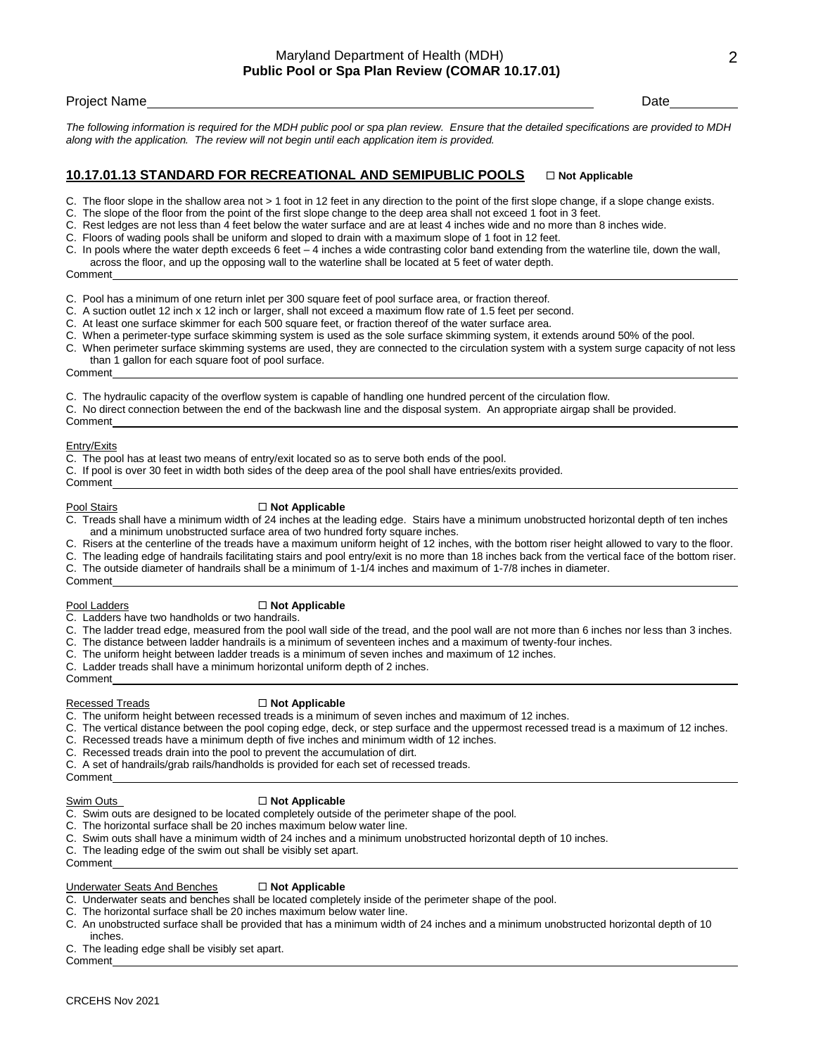*The following information is required for the MDH public pool or spa plan review. Ensure that the detailed specifications are provided to MDH along with the application. The review will not begin until each application item is provided.*

## **10.17.01.13 STANDARD FOR RECREATIONAL AND SEMIPUBLIC POOLS**  $\Box$  Not Applicable

- C. The floor slope in the shallow area not > 1 foot in 12 feet in any direction to the point of the first slope change, if a slope change exists.
- C. The slope of the floor from the point of the first slope change to the deep area shall not exceed 1 foot in 3 feet.
- Rest ledges are not less than 4 feet below the water surface and are at least 4 inches wide and no more than 8 inches wide.
- C. Floors of wading pools shall be uniform and sloped to drain with a maximum slope of 1 foot in 12 feet.
- C. In pools where the water depth exceeds 6 feet 4 inches a wide contrasting color band extending from the waterline tile, down the wall, across the floor, and up the opposing wall to the waterline shall be located at 5 feet of water depth.

Comment

- C. Pool has a minimum of one return inlet per 300 square feet of pool surface area, or fraction thereof.
- C. A suction outlet 12 inch x 12 inch or larger, shall not exceed a maximum flow rate of 1.5 feet per second.
- C. At least one surface skimmer for each 500 square feet, or fraction thereof of the water surface area.
- When a perimeter-type surface skimming system is used as the sole surface skimming system, it extends around 50% of the pool.
- C. When perimeter surface skimming systems are used, they are connected to the circulation system with a system surge capacity of not less than 1 gallon for each square foot of pool surface.

Comment

- C. The hydraulic capacity of the overflow system is capable of handling one hundred percent of the circulation flow.
- C. No direct connection between the end of the backwash line and the disposal system. An appropriate airgap shall be provided.

**Comment** Entry/Exits

- C. The pool has at least two means of entry/exit located so as to serve both ends of the pool.
- C. If pool is over 30 feet in width both sides of the deep area of the pool shall have entries/exits provided.
- Comment

#### Pool Stairs **Not Applicable**

- C. Treads shall have a minimum width of 24 inches at the leading edge. Stairs have a minimum unobstructed horizontal depth of ten inches and a minimum unobstructed surface area of two hundred forty square inches.
- C. Risers at the centerline of the treads have a maximum uniform height of 12 inches, with the bottom riser height allowed to vary to the floor.
- C. The leading edge of handrails facilitating stairs and pool entry/exit is no more than 18 inches back from the vertical face of the bottom riser.
- C. The outside diameter of handrails shall be a minimum of 1-1/4 inches and maximum of 1-7/8 inches in diameter.

## Comment

## Pool Ladders **Not Applicable**

C. Ladders have two handholds or two handrails.

- C. The ladder tread edge, measured from the pool wall side of the tread, and the pool wall are not more than 6 inches nor less than 3 inches.
- C. The distance between ladder handrails is a minimum of seventeen inches and a maximum of twenty-four inches.
- C. The uniform height between ladder treads is a minimum of seven inches and maximum of 12 inches.
- C. Ladder treads shall have a minimum horizontal uniform depth of 2 inches.

Comment

#### Recessed Treads **Not Applicable**

- C. The uniform height between recessed treads is a minimum of seven inches and maximum of 12 inches.
- C. The vertical distance between the pool coping edge, deck, or step surface and the uppermost recessed tread is a maximum of 12 inches.
- C. Recessed treads have a minimum depth of five inches and minimum width of 12 inches.
- Recessed treads drain into the pool to prevent the accumulation of dirt.
- C. A set of handrails/grab rails/handholds is provided for each set of recessed treads.

Comment

#### Swim Outs **Not Applicable**

- C. Swim outs are designed to be located completely outside of the perimeter shape of the pool.
- C. The horizontal surface shall be 20 inches maximum below water line.
- C. Swim outs shall have a minimum width of 24 inches and a minimum unobstructed horizontal depth of 10 inches.
- The leading edge of the swim out shall be visibly set apart.

Comment

#### **Underwater Seats And Benches □ Not Applicable**

- C. Underwater seats and benches shall be located completely inside of the perimeter shape of the pool.
- C. The horizontal surface shall be 20 inches maximum below water line.
- C. An unobstructed surface shall be provided that has a minimum width of 24 inches and a minimum unobstructed horizontal depth of 10 inches.

C. The leading edge shall be visibly set apart.

Comment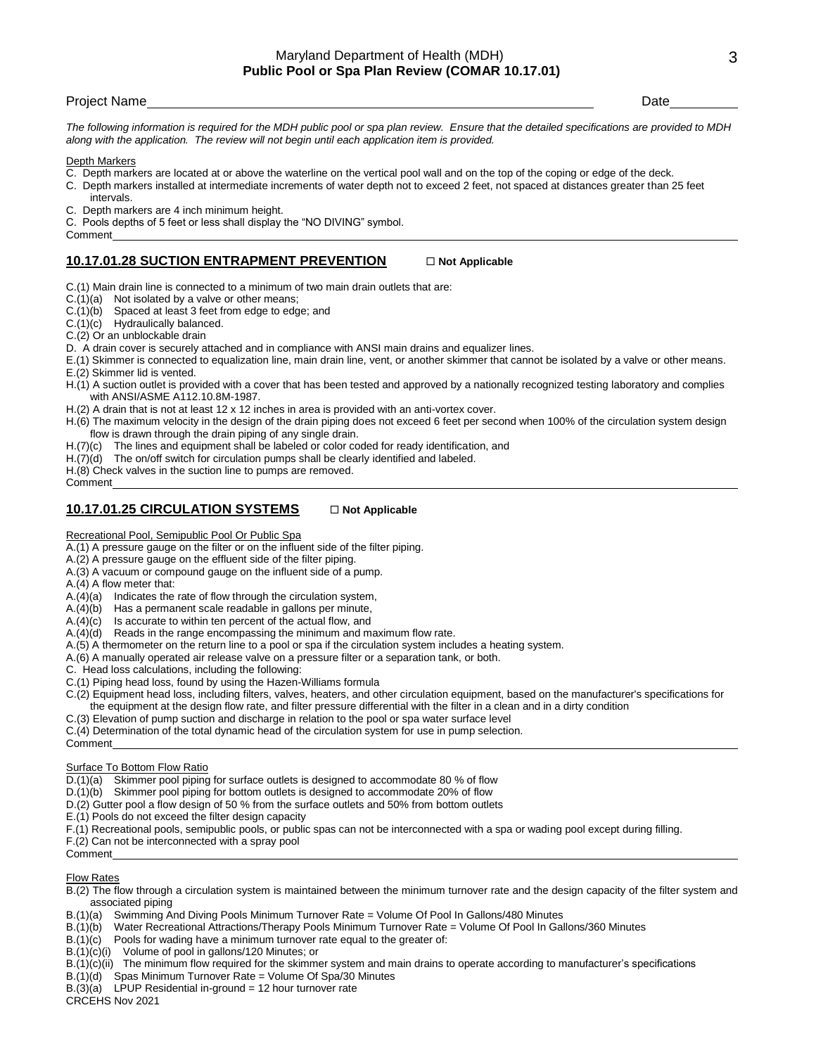## Project Name Date Date of the United States of the United States of the United States of the Date Date of the U

*The following information is required for the MDH public pool or spa plan review. Ensure that the detailed specifications are provided to MDH along with the application. The review will not begin until each application item is provided.*

Depth Markers

- C. Depth markers are located at or above the waterline on the vertical pool wall and on the top of the coping or edge of the deck.
- C. Depth markers installed at intermediate increments of water depth not to exceed 2 feet, not spaced at distances greater than 25 feet
- intervals.
- C. Depth markers are 4 inch minimum height.

C. Pools depths of 5 feet or less shall display the "NO DIVING" symbol.

Comment

## **10.17.01.28 SUCTION ENTRAPMENT PREVENTION Not Applicable**

C.(1) Main drain line is connected to a minimum of two main drain outlets that are:

- $C.(1)(a)$  Not isolated by a valve or other means;
- C.(1)(b) Spaced at least 3 feet from edge to edge; and

C.(1)(c) Hydraulically balanced.

C.(2) Or an unblockable drain

D. A drain cover is securely attached and in compliance with ANSI main drains and equalizer lines.

E.(1) Skimmer is connected to equalization line, main drain line, vent, or another skimmer that cannot be isolated by a valve or other means. E.(2) Skimmer lid is vented.

H.(1) A suction outlet is provided with a cover that has been tested and approved by a nationally recognized testing laboratory and complies with ANSI/ASME A112.10.8M-1987.

H.(2) A drain that is not at least 12 x 12 inches in area is provided with an anti-vortex cover.

H.(6) The maximum velocity in the design of the drain piping does not exceed 6 feet per second when 100% of the circulation system design flow is drawn through the drain piping of any single drain.

H.(7)(c) The lines and equipment shall be labeled or color coded for ready identification, and

H.(7)(d) The on/off switch for circulation pumps shall be clearly identified and labeled.

H.(8) Check valves in the suction line to pumps are removed.

Comment

## 10.17.01.25 CIRCULATION SYSTEMS  $\Box$  Not Applicable

Recreational Pool, Semipublic Pool Or Public Spa

A.(1) A pressure gauge on the filter or on the influent side of the filter piping.

A.(2) A pressure gauge on the effluent side of the filter piping.

- A.(3) A vacuum or compound gauge on the influent side of a pump.
- A.(4) A flow meter that:

A.(4)(a) Indicates the rate of flow through the circulation system,

- A.(4)(b) Has a permanent scale readable in gallons per minute,
- A.(4)(c) Is accurate to within ten percent of the actual flow, and
- A.(4)(d) Reads in the range encompassing the minimum and maximum flow rate.
- A.(5) A thermometer on the return line to a pool or spa if the circulation system includes a heating system.

A.(6) A manually operated air release valve on a pressure filter or a separation tank, or both.

C. Head loss calculations, including the following:

- C.(1) Piping head loss, found by using the Hazen-Williams formula
- C.(2) Equipment head loss, including filters, valves, heaters, and other circulation equipment, based on the manufacturer's specifications for the equipment at the design flow rate, and filter pressure differential with the filter in a clean and in a dirty condition
- C.(3) Elevation of pump suction and discharge in relation to the pool or spa water surface level
- C.(4) Determination of the total dynamic head of the circulation system for use in pump selection.
- Comment

#### Surface To Bottom Flow Ratio

D.(1)(a) Skimmer pool piping for surface outlets is designed to accommodate 80 % of flow

D.(1)(b) Skimmer pool piping for bottom outlets is designed to accommodate 20% of flow

D.(2) Gutter pool a flow design of 50 % from the surface outlets and 50% from bottom outlets

E.(1) Pools do not exceed the filter design capacity

F.(1) Recreational pools, semipublic pools, or public spas can not be interconnected with a spa or wading pool except during filling.

F.(2) Can not be interconnected with a spray pool Comment

# Flow Rates

B.(2) The flow through a circulation system is maintained between the minimum turnover rate and the design capacity of the filter system and associated piping

- B.(1)(a) Swimming And Diving Pools Minimum Turnover Rate = Volume Of Pool In Gallons/480 Minutes
- B.(1)(b) Water Recreational Attractions/Therapy Pools Minimum Turnover Rate = Volume Of Pool In Gallons/360 Minutes
- B.(1)(c) Pools for wading have a minimum turnover rate equal to the greater of:
- B.(1)(c)(i) Volume of pool in gallons/120 Minutes; or
- B.(1)(c)(ii) The minimum flow required for the skimmer system and main drains to operate according to manufacturer's specifications
- B.(1)(d) Spas Minimum Turnover Rate = Volume Of Spa/30 Minutes
- $B(3)(a)$  LPUP Residential in-ground = 12 hour turnover rate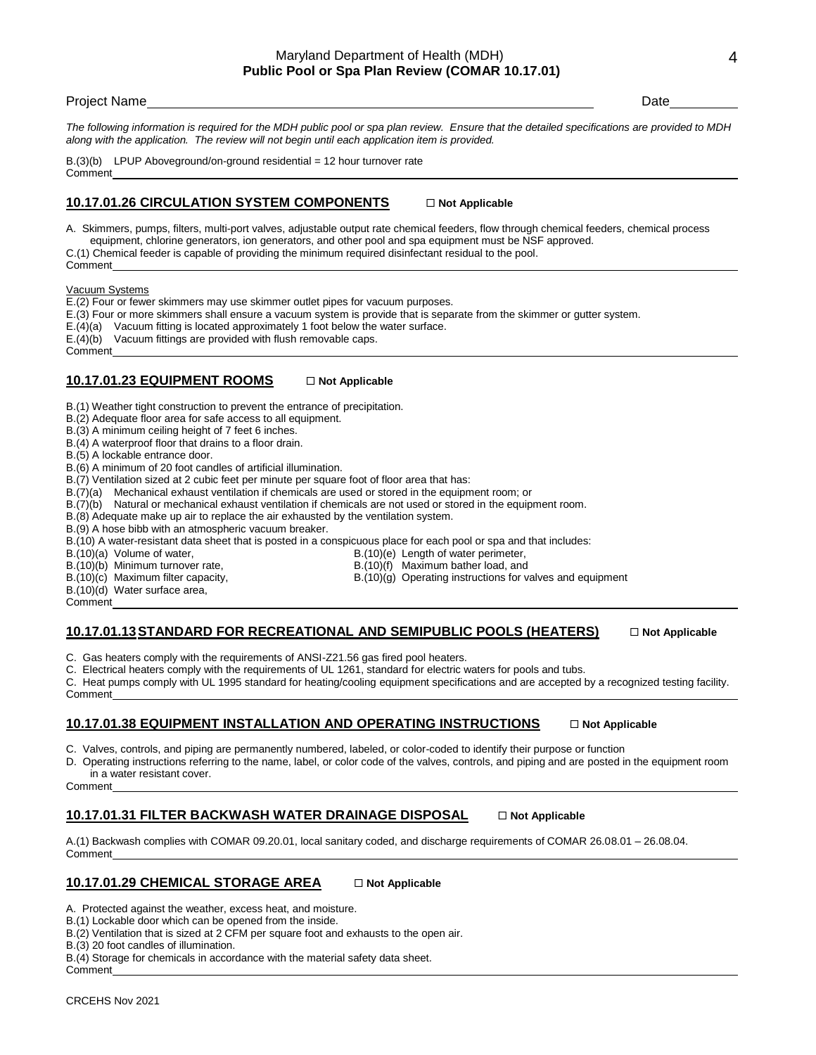*The following information is required for the MDH public pool or spa plan review. Ensure that the detailed specifications are provided to MDH along with the application. The review will not begin until each application item is provided.*

B.(3)(b) LPUP Aboveground/on-ground residential = 12 hour turnover rate Comment

## **10.17.01.26 CIRCULATION SYSTEM COMPONENTS Not Applicable**

A. Skimmers, pumps, filters, multi-port valves, adjustable output rate chemical feeders, flow through chemical feeders, chemical process equipment, chlorine generators, ion generators, and other pool and spa equipment must be NSF approved. C.(1) Chemical feeder is capable of providing the minimum required disinfectant residual to the pool.

Vacuum Systems

E.(2) Four or fewer skimmers may use skimmer outlet pipes for vacuum purposes.

- E.(3) Four or more skimmers shall ensure a vacuum system is provide that is separate from the skimmer or gutter system.
- E.(4)(a) Vacuum fitting is located approximately 1 foot below the water surface.
- E.(4)(b) Vacuum fittings are provided with flush removable caps.

**Comment** 

Comment

## **10.17.01.23 EQUIPMENT ROOMS Not Applicable**

B.(1) Weather tight construction to prevent the entrance of precipitation.

- B.(2) Adequate floor area for safe access to all equipment.
- B.(3) A minimum ceiling height of 7 feet 6 inches.

B.(4) A waterproof floor that drains to a floor drain.

B.(5) A lockable entrance door.

B.(6) A minimum of 20 foot candles of artificial illumination.

B.(7) Ventilation sized at 2 cubic feet per minute per square foot of floor area that has:

B.(7)(a) Mechanical exhaust ventilation if chemicals are used or stored in the equipment room; or

B.(7)(b) Natural or mechanical exhaust ventilation if chemicals are not used or stored in the equipment room.

B.(8) Adequate make up air to replace the air exhausted by the ventilation system.

B.(9) A hose bibb with an atmospheric vacuum breaker.

B.(10) A water-resistant data sheet that is posted in a conspicuous place for each pool or spa and that includes:

B.(10)(a) Volume of water, B.(10)(e) Length of water perimeter,

B.(10)(b) Minimum turnover rate,<br>B.(10)(f) Maximum bather load, and<br>B.(10)(g) Operating instructions for v  $B(10)(g)$  Operating instructions for valves and equipment

- B.(10)(d) Water surface area,
- Comment

## **10.17.01.13 STANDARD FOR RECREATIONAL AND SEMIPUBLIC POOLS (HEATERS)**  $\Box$  Not Applicable

C. Gas heaters comply with the requirements of ANSI-Z21.56 gas fired pool heaters.

C. Electrical heaters comply with the requirements of UL 1261, standard for electric waters for pools and tubs.

C. Heat pumps comply with UL 1995 standard for heating/cooling equipment specifications and are accepted by a recognized testing facility. Comment

## **10.17.01.38 EQUIPMENT INSTALLATION AND OPERATING INSTRUCTIONS**  $\Box$  **Not Applicable**

C. Valves, controls, and piping are permanently numbered, labeled, or color-coded to identify their purpose or function

D. Operating instructions referring to the name, label, or color code of the valves, controls, and piping and are posted in the equipment room in a water resistant cover.

Comment

## **10.17.01.31 FILTER BACKWASH WATER DRAINAGE DISPOSAL Not Applicable**

A.(1) Backwash complies with COMAR 09.20.01, local sanitary coded, and discharge requirements of COMAR 26.08.01 – 26.08.04. Comment

## **10.17.01.29 CHEMICAL STORAGE AREA** □ Not Applicable

A. Protected against the weather, excess heat, and moisture.

B.(1) Lockable door which can be opened from the inside.

B.(2) Ventilation that is sized at 2 CFM per square foot and exhausts to the open air.

B.(3) 20 foot candles of illumination.

B.(4) Storage for chemicals in accordance with the material safety data sheet.

Comment

4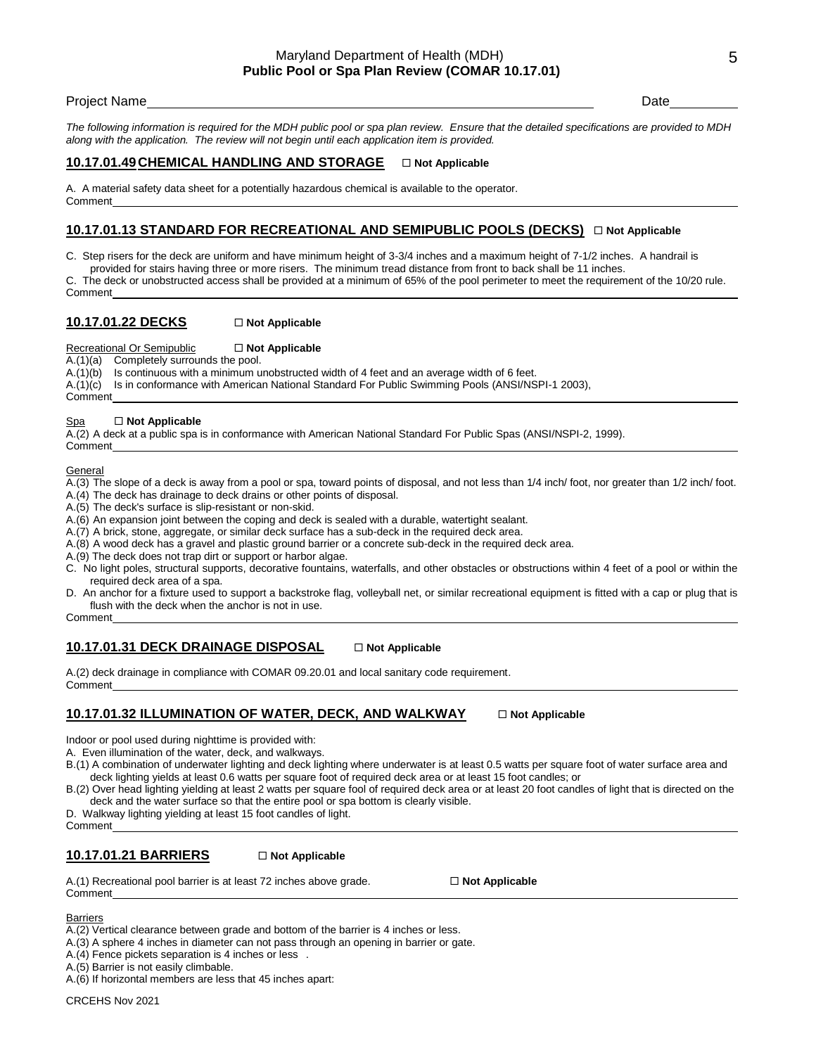## Maryland Department of Health (MDH) **Public Pool or Spa Plan Review (COMAR 10.17.01)**

#### Project Name Date Date of the Contract of the Contract of the Contract of the Date Date Date Date

*The following information is required for the MDH public pool or spa plan review. Ensure that the detailed specifications are provided to MDH along with the application. The review will not begin until each application item is provided.*

## **10.17.01.49CHEMICAL HANDLING AND STORAGE Not Applicable**

A. A material safety data sheet for a potentially hazardous chemical is available to the operator. Comment

## **<u>10.17.01.13 STANDARD FOR RECREATIONAL AND SEMIPUBLIC POOLS (DECKS)</u> □ Not Applicable**

C. Step risers for the deck are uniform and have minimum height of 3-3/4 inches and a maximum height of 7-1/2 inches. A handrail is

provided for stairs having three or more risers. The minimum tread distance from front to back shall be 11 inches.

The deck or unobstructed access shall be provided at a minimum of 65% of the pool perimeter to meet the requirement of the 10/20 rule. Comment

## **10.17.01.22 DECKS** □ Not Applicable

Recreational Or Semipublic **□ Not Applicable** 

A.(1)(a) Completely surrounds the pool.

A.(1)(b) Is continuous with a minimum unobstructed width of 4 feet and an average width of 6 feet.

A.(1)(c) Is in conformance with American National Standard For Public Swimming Pools (ANSI/NSPI-1 2003),

## Comment

#### Spa □ Not Applicable

A.(2) A deck at a public spa is in conformance with American National Standard For Public Spas (ANSI/NSPI-2, 1999). Comment

#### General

A.(3) The slope of a deck is away from a pool or spa, toward points of disposal, and not less than 1/4 inch/ foot, nor greater than 1/2 inch/ foot.

A.(4) The deck has drainage to deck drains or other points of disposal.

A.(5) The deck's surface is slip-resistant or non-skid.

A.(6) An expansion joint between the coping and deck is sealed with a durable, watertight sealant.

A.(7) A brick, stone, aggregate, or similar deck surface has a sub-deck in the required deck area.

A.(8) A wood deck has a gravel and plastic ground barrier or a concrete sub-deck in the required deck area.

A.(9) The deck does not trap dirt or support or harbor algae.

C. No light poles, structural supports, decorative fountains, waterfalls, and other obstacles or obstructions within 4 feet of a pool or within the required deck area of a spa.

D. An anchor for a fixture used to support a backstroke flag, volleyball net, or similar recreational equipment is fitted with a cap or plug that is flush with the deck when the anchor is not in use.

Comment

## **10.17.01.31 DECK DRAINAGE DISPOSAL Not Applicable**

A.(2) deck drainage in compliance with COMAR 09.20.01 and local sanitary code requirement. Comment

## **10.17.01.32 ILLUMINATION OF WATER, DECK, AND WALKWAY Not Applicable**

Indoor or pool used during nighttime is provided with:

A. Even illumination of the water, deck, and walkways.

B.(1) A combination of underwater lighting and deck lighting where underwater is at least 0.5 watts per square foot of water surface area and deck lighting yields at least 0.6 watts per square foot of required deck area or at least 15 foot candles; or

B.(2) Over head lighting yielding at least 2 watts per square fool of required deck area or at least 20 foot candles of light that is directed on the deck and the water surface so that the entire pool or spa bottom is clearly visible.

D. Walkway lighting yielding at least 15 foot candles of light.

Comment

## 10.17.01.21 BARRIERS **DINOTAL BARRIERS**

A.(1) Recreational pool barrier is at least 72 inches above grade.  $\square$  **Not Applicable** Comment

Barriers

A.(2) Vertical clearance between grade and bottom of the barrier is 4 inches or less.

A.(3) A sphere 4 inches in diameter can not pass through an opening in barrier or gate.

A.(4) Fence pickets separation is 4 inches or less .

A.(5) Barrier is not easily climbable.

A.(6) If horizontal members are less that 45 inches apart: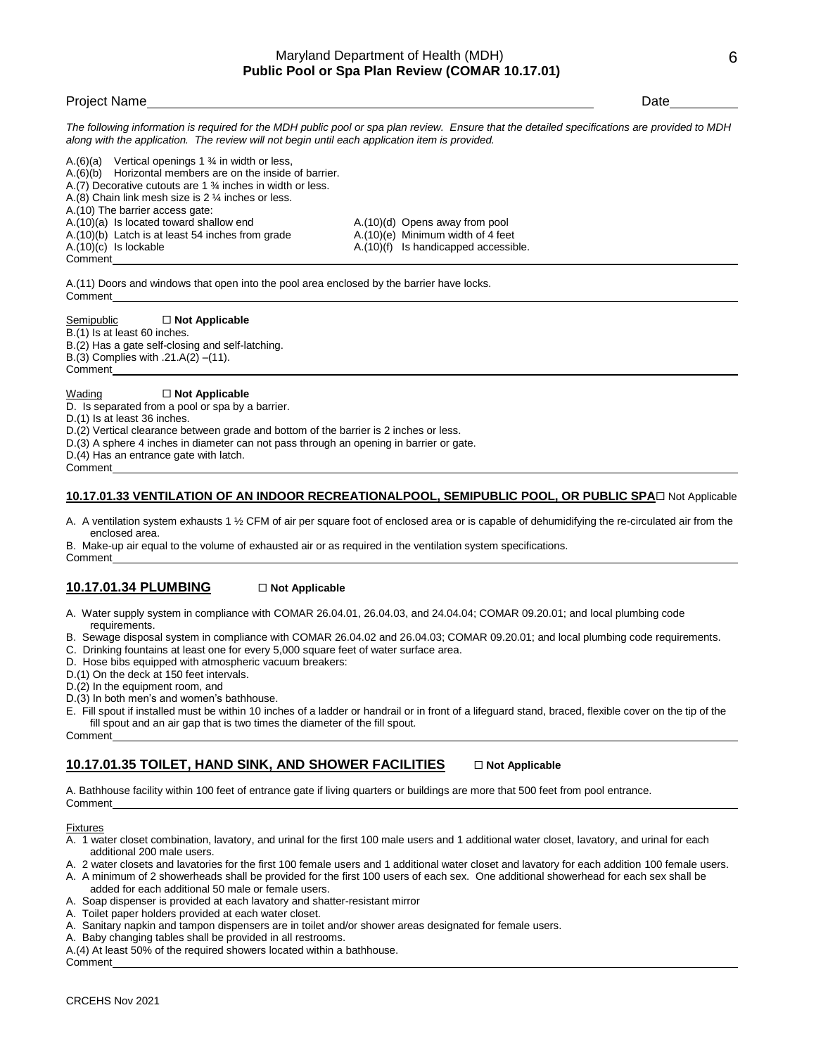*The following information is required for the MDH public pool or spa plan review. Ensure that the detailed specifications are provided to MDH along with the application. The review will not begin until each application item is provided.*

A.(6)(a) Vertical openings 1 ¾ in width or less, A.(6)(b) Horizontal members are on the inside of barrier. A.(7) Decorative cutouts are 1 ¾ inches in width or less. A.(8) Chain link mesh size is 2 ¼ inches or less. A.(10) The barrier access gate: A.(10)(a) Is located toward shallow end A.(10)(d) Opens away from pool A.(10)(b) Latch is at least 54 inches from grade  $A.(10)(e)$  Minimum width of 4 feet A.(10)(c) Is lockable A.(10)(f) Is handicapped accessible. Comment

A.(11) Doors and windows that open into the pool area enclosed by the barrier have locks. Comment

#### Semipublic  $\Box$  **Not Applicable**

B.(1) Is at least 60 inches. B.(2) Has a gate self-closing and self-latching. B.(3) Complies with .21.A(2) –(11). Comment

## **Wading □ Not Applicable**

D. Is separated from a pool or spa by a barrier.

D.(1) Is at least 36 inches.

D.(2) Vertical clearance between grade and bottom of the barrier is 2 inches or less.

D.(3) A sphere 4 inches in diameter can not pass through an opening in barrier or gate.

D.(4) Has an entrance gate with latch.

Comment

### 10.17.01.33 VENTILATION OF AN INDOOR RECREATIONALPOOL, SEMIPUBLIC POOL, OR PUBLIC SPA<sup>I</sup>Not Applicable

A. A ventilation system exhausts 1 ½ CFM of air per square foot of enclosed area or is capable of dehumidifying the re-circulated air from the enclosed area.

B. Make-up air equal to the volume of exhausted air or as required in the ventilation system specifications. Comment

#### **10.17.01.34 PLUMBING** □ Not Applicable

- A. Water supply system in compliance with COMAR 26.04.01, 26.04.03, and 24.04.04; COMAR 09.20.01; and local plumbing code requirements.
- B. Sewage disposal system in compliance with COMAR 26.04.02 and 26.04.03; COMAR 09.20.01; and local plumbing code requirements.
- C. Drinking fountains at least one for every 5,000 square feet of water surface area.
- D. Hose bibs equipped with atmospheric vacuum breakers:
- D.(1) On the deck at 150 feet intervals.
- D.(2) In the equipment room, and
- D.(3) In both men's and women's bathhouse.
- E. Fill spout if installed must be within 10 inches of a ladder or handrail or in front of a lifeguard stand, braced, flexible cover on the tip of the fill spout and an air gap that is two times the diameter of the fill spout.

# Comment

## **10.17.01.35 TOILET, HAND SINK, AND SHOWER FACILITIES Not Applicable**

A. Bathhouse facility within 100 feet of entrance gate if living quarters or buildings are more that 500 feet from pool entrance. Comment

### Fixtures

- A. 1 water closet combination, lavatory, and urinal for the first 100 male users and 1 additional water closet, lavatory, and urinal for each additional 200 male users.
- A. 2 water closets and lavatories for the first 100 female users and 1 additional water closet and lavatory for each addition 100 female users.

A. A minimum of 2 showerheads shall be provided for the first 100 users of each sex. One additional showerhead for each sex shall be added for each additional 50 male or female users.

- A. Soap dispenser is provided at each lavatory and shatter-resistant mirror
- A. Toilet paper holders provided at each water closet.
- A. Sanitary napkin and tampon dispensers are in toilet and/or shower areas designated for female users.
- A. Baby changing tables shall be provided in all restrooms.

A.(4) At least 50% of the required showers located within a bathhouse.

Comment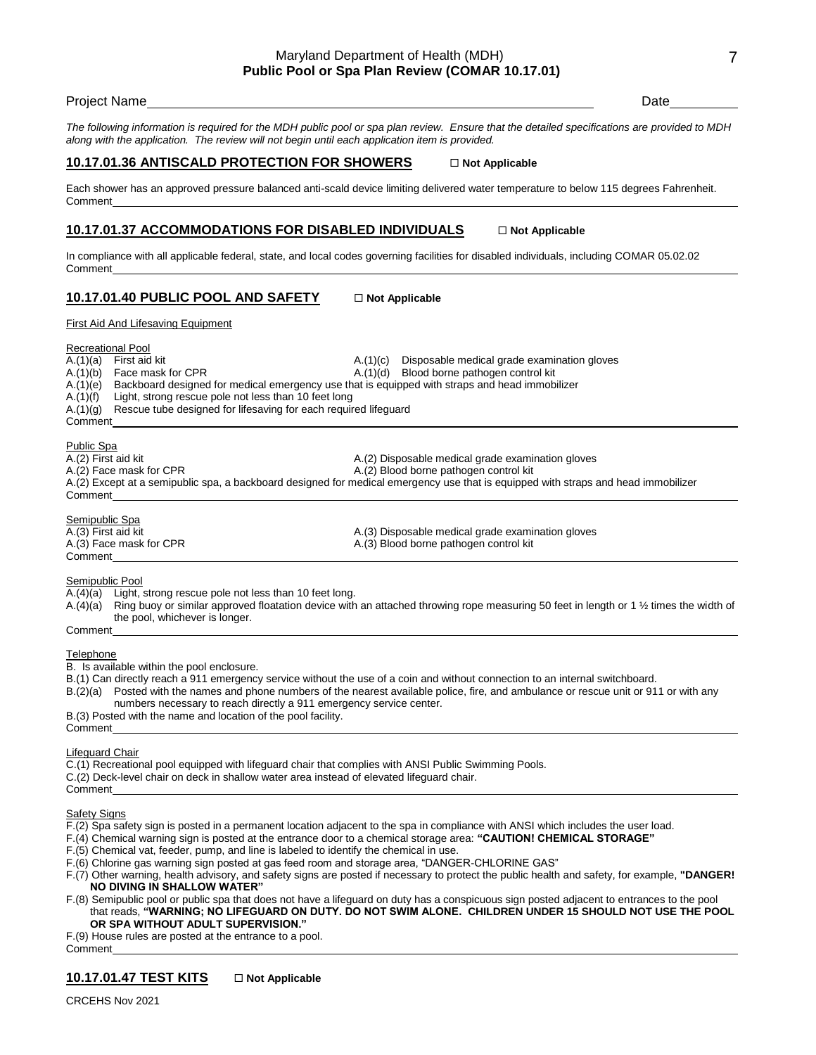## Maryland Department of Health (MDH) **Public Pool or Spa Plan Review (COMAR 10.17.01)**

#### Project Name Date Date of the Contract of the Contract of the Contract of the Date Date Date Date

*The following information is required for the MDH public pool or spa plan review. Ensure that the detailed specifications are provided to MDH along with the application. The review will not begin until each application item is provided.*

#### **10.17.01.36 ANTISCALD PROTECTION FOR SHOWERS Not Applicable**

Each shower has an approved pressure balanced anti-scald device limiting delivered water temperature to below 115 degrees Fahrenheit. Comment

## **10.17.01.37 ACCOMMODATIONS FOR DISABLED INDIVIDUALS Not Applicable**

In compliance with all applicable federal, state, and local codes governing facilities for disabled individuals, including COMAR 05.02.02 Comment

## 10.17.01.40 PUBLIC POOL AND SAFETY **Discript In Applicable**

First Aid And Lifesaving Equipment

#### Recreational Pool

A.(1)(c) Disposable medical grade examination gloves A.(1)(c) Disposable medical grade examination gloves A.(1)(b) Face mask for CPR A.(1)(d) Blood borne pathogen control kit A.(1)(e) Backboard designed for medical emergency use that is equipped with straps and head immobilizer A.(1)(f) Light, strong rescue pole not less than 10 feet long A.(1)(g) Rescue tube designed for lifesaving for each required lifeguard Comment

#### Public Spa

- A.(2) First aid kit A.(2) Disposable medical grade examination gloves A.(2) Face mask for CPR A.(2) Blood borne pathogen control kit A.(2) Except at a semipublic spa, a backboard designed for medical emergency use that is equipped with straps and head immobilizer Comment Semipublic Spa A.(3) First aid kit A.(3) Disposable medical grade examination gloves<br>A.(3) Pace mask for CPR A.(3) Blood borne pathogen control kit A.(3) Blood borne pathogen control kit Comment Semipublic Pool A.(4)(a) Light, strong rescue pole not less than 10 feet long.
- A.(4)(a) Ring buoy or similar approved floatation device with an attached throwing rope measuring 50 feet in length or 1 ½ times the width of the pool, whichever is longer. Comment

# **Telephone**

B. Is available within the pool enclosure.

B.(1) Can directly reach a 911 emergency service without the use of a coin and without connection to an internal switchboard.

- B.(2)(a) Posted with the names and phone numbers of the nearest available police, fire, and ambulance or rescue unit or 911 or with any numbers necessary to reach directly a 911 emergency service center.
- B.(3) Posted with the name and location of the pool facility.

**Comment** 

#### Lifeguard Chair

- C.(1) Recreational pool equipped with lifeguard chair that complies with ANSI Public Swimming Pools.
- C.(2) Deck-level chair on deck in shallow water area instead of elevated lifeguard chair.

#### **Safety Signs**

Comment

F.(2) Spa safety sign is posted in a permanent location adjacent to the spa in compliance with ANSI which includes the user load.

- F.(4) Chemical warning sign is posted at the entrance door to a chemical storage area: **"CAUTION! CHEMICAL STORAGE"**
- F.(5) Chemical vat, feeder, pump, and line is labeled to identify the chemical in use.
- F.(6) Chlorine gas warning sign posted at gas feed room and storage area, "DANGER-CHLORINE GAS"
- F.(7) Other warning, health advisory, and safety signs are posted if necessary to protect the public health and safety, for example, **"DANGER! NO DIVING IN SHALLOW WATER"**
- F.(8) Semipublic pool or public spa that does not have a lifeguard on duty has a conspicuous sign posted adjacent to entrances to the pool that reads, **"WARNING; NO LIFEGUARD ON DUTY. DO NOT SWIM ALONE. CHILDREN UNDER 15 SHOULD NOT USE THE POOL OR SPA WITHOUT ADULT SUPERVISION."**

# F.(9) House rules are posted at the entrance to a pool.

Comment

# **10.17.01.47 TEST KITS**  $\Box$  Not Applicable

CRCEHS Nov 2021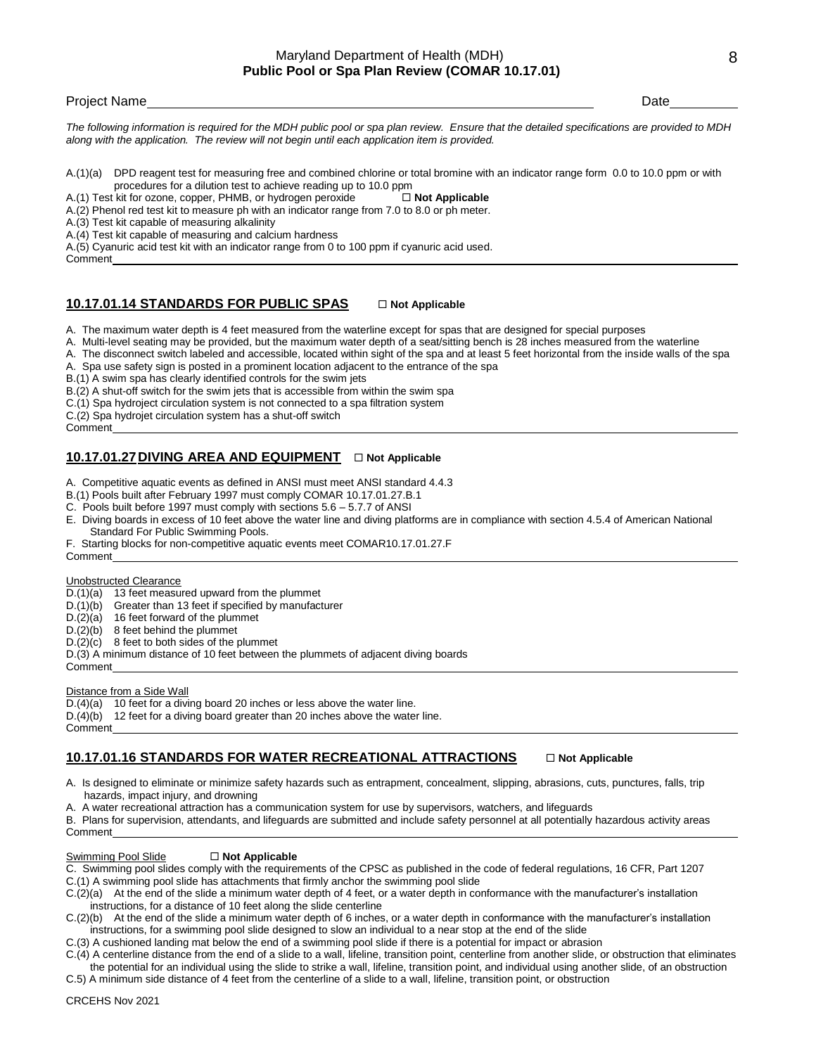*The following information is required for the MDH public pool or spa plan review. Ensure that the detailed specifications are provided to MDH along with the application. The review will not begin until each application item is provided.*

A.(1)(a) DPD reagent test for measuring free and combined chlorine or total bromine with an indicator range form 0.0 to 10.0 ppm or with procedures for a dilution test to achieve reading up to 10.0 ppm

A.(1) Test kit for ozone, copper, PHMB, or hydrogen peroxide  $\square$  Not Applicable

A.(2) Phenol red test kit to measure ph with an indicator range from 7.0 to 8.0 or ph meter.

A.(3) Test kit capable of measuring alkalinity

A.(4) Test kit capable of measuring and calcium hardness

A.(5) Cyanuric acid test kit with an indicator range from 0 to 100 ppm if cyanuric acid used.

Comment

## 10.17.01.14 STANDARDS FOR PUBLIC SPAS **DRAFILM** Not Applicable

A. The maximum water depth is 4 feet measured from the waterline except for spas that are designed for special purposes

A. Multi-level seating may be provided, but the maximum water depth of a seat/sitting bench is 28 inches measured from the waterline

A. The disconnect switch labeled and accessible, located within sight of the spa and at least 5 feet horizontal from the inside walls of the spa

A. Spa use safety sign is posted in a prominent location adjacent to the entrance of the spa

B.(1) A swim spa has clearly identified controls for the swim jets

B.(2) A shut-off switch for the swim jets that is accessible from within the swim spa

C.(1) Spa hydroject circulation system is not connected to a spa filtration system

C.(2) Spa hydrojet circulation system has a shut-off switch

Comment

## 10.17.01.27 DIVING AREA AND EQUIPMENT  $\Box$  Not Applicable

A. Competitive aquatic events as defined in ANSI must meet ANSI standard 4.4.3

B.(1) Pools built after February 1997 must comply COMAR 10.17.01.27.B.1

- C. Pools built before 1997 must comply with sections 5.6 5.7.7 of ANSI
- E. Diving boards in excess of 10 feet above the water line and diving platforms are in compliance with section 4.5.4 of American National Standard For Public Swimming Pools.

F. Starting blocks for non-competitive aquatic events meet COMAR10.17.01.27.F Comment

#### Unobstructed Clearance

D.(1)(a) 13 feet measured upward from the plummet

D.(1)(b) Greater than 13 feet if specified by manufacturer

D.(2)(a) 16 feet forward of the plummet

D.(2)(b) 8 feet behind the plummet

D.(2)(c) 8 feet to both sides of the plummet

D.(3) A minimum distance of 10 feet between the plummets of adjacent diving boards

Comment

**Comment** 

#### Distance from a Side Wall

D.(4)(a) 10 feet for a diving board 20 inches or less above the water line.

 $D.(4)(b)$  12 feet for a diving board greater than 20 inches above the water line.

## **10.17.01.16 STANDARDS FOR WATER RECREATIONAL ATTRACTIONS**  $\Box$  Not Applicable

- A. Is designed to eliminate or minimize safety hazards such as entrapment, concealment, slipping, abrasions, cuts, punctures, falls, trip hazards, impact injury, and drowning
- A. A water recreational attraction has a communication system for use by supervisors, watchers, and lifeguards

B. Plans for supervision, attendants, and lifeguards are submitted and include safety personnel at all potentially hazardous activity areas Comment

#### **Swimming Pool Slide □ Not Applicable**

C. Swimming pool slides comply with the requirements of the CPSC as published in the code of federal regulations, 16 CFR, Part 1207

C.(1) A swimming pool slide has attachments that firmly anchor the swimming pool slide

C.(2)(a) At the end of the slide a minimum water depth of 4 feet, or a water depth in conformance with the manufacturer's installation instructions, for a distance of 10 feet along the slide centerline

C.(2)(b) At the end of the slide a minimum water depth of 6 inches, or a water depth in conformance with the manufacturer's installation instructions, for a swimming pool slide designed to slow an individual to a near stop at the end of the slide

C.(3) A cushioned landing mat below the end of a swimming pool slide if there is a potential for impact or abrasion

C.(4) A centerline distance from the end of a slide to a wall, lifeline, transition point, centerline from another slide, or obstruction that eliminates the potential for an individual using the slide to strike a wall, lifeline, transition point, and individual using another slide, of an obstruction

C.5) A minimum side distance of 4 feet from the centerline of a slide to a wall, lifeline, transition point, or obstruction